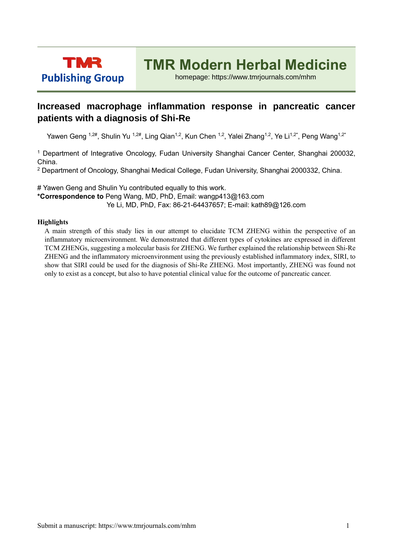

## **TMR Modern Herbal Medicine**

homepage: https://www.tmrjournals.com/mhm

## **Increased macrophage inflammation response in pancreatic cancer patients with a diagnosis of Shi-Re**

Yawen Geng <sup>1,2#</sup>, Shulin Yu <sup>1,2#</sup>, Ling Qian<sup>1,2</sup>, Kun Chen <sup>1,2</sup>, Yalei Zhang<sup>1,2</sup>, Ye Li<sup>1,2\*</sup>, Peng Wang<sup>1,2\*</sup>

<sup>1</sup> Department of Integrative Oncology, Fudan University Shanghai Cancer Center, Shanghai 200032, China.

<sup>2</sup> Department of Oncology, Shanghai Medical College, Fudan University, Shanghai 2000332, China.

# Yawen Geng and Shulin Yu contributed equally to this work.

**\*Correspondence to** Peng Wang, MD, PhD, Email: wangp413@163.com Ye Li, MD, PhD, Fax: 86-21-64437657; E-mail: kath89@126.com

## **Highlights**

A main strength of this study lies in our attempt to elucidate TCM ZHENG within the perspective of an inflammatory microenvironment. We demonstrated that different types of cytokines are expressed in different TCM ZHENGs, suggesting a molecular basis for ZHENG. We further explained the relationship between Shi-Re ZHENG and the inflammatory microenvironment using the previously established inflammatory index, SIRI, to show that SIRI could be used for the diagnosis of Shi-Re ZHENG. Most importantly, ZHENG was found not only to exist as a concept, but also to have potential clinical value for the outcome of pancreatic cancer.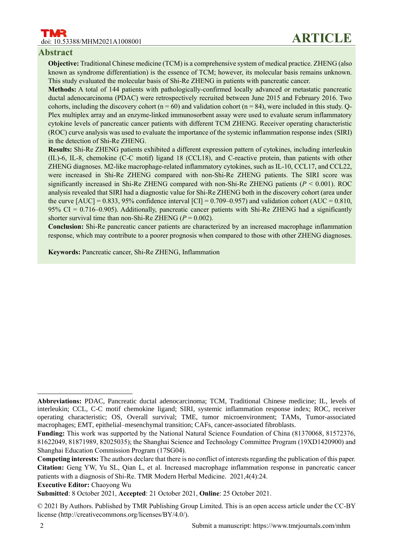### **Abstract**

**Objective:** Traditional Chinese medicine (TCM) is a comprehensive system of medical practice. ZHENG (also known as syndrome differentiation) is the essence of TCM; however, its molecular basis remains unknown. This study evaluated the molecular basis of Shi-Re ZHENG in patients with pancreatic cancer.

**Methods:** A total of 144 patients with pathologically-confirmed locally advanced or metastatic pancreatic ductal adenocarcinoma (PDAC) were retrospectively recruited between June 2015 and February 2016. Two cohorts, including the discovery cohort ( $n = 60$ ) and validation cohort ( $n = 84$ ), were included in this study. Q-Plex multiplex array and an enzyme-linked immunosorbent assay were used to evaluate serum inflammatory cytokine levels of pancreatic cancer patients with different TCM ZHENG. Receiver operating characteristic (ROC) curve analysis was used to evaluate the importance of the systemic inflammation response index (SIRI) in the detection of Shi-Re ZHENG.

**Results:** Shi-Re ZHENG patients exhibited a different expression pattern of cytokines, including interleukin (IL)-6, IL-8, chemokine (C-C motif) ligand 18 (CCL18), and C-reactive protein, than patients with other ZHENG diagnoses. M2-like macrophage-related inflammatory cytokines, such as IL-10, CCL17, and CCL22, were increased in Shi-Re ZHENG compared with non-Shi-Re ZHENG patients. The SIRI score was significantly increased in Shi-Re ZHENG compared with non-Shi-Re ZHENG patients (*P* < 0.001). ROC analysis revealed that SIRI had a diagnostic value for Shi-Re ZHENG both in the discovery cohort (area under the curve  $[AUC] = 0.833, 95\%$  confidence interval  $[CI] = 0.709 - 0.957$ ) and validation cohort  $(AUC = 0.810, 0.957)$ 95% CI = 0.716–0.905). Additionally, pancreatic cancer patients with Shi-Re ZHENG had a significantly shorter survival time than non-Shi-Re ZHENG  $(P = 0.002)$ .

**Conclusion:** Shi-Re pancreatic cancer patients are characterized by an increased macrophage inflammation response, which may contribute to a poorer prognosis when compared to those with other ZHENG diagnoses.

**Keywords:** Pancreatic cancer, Shi-Re ZHENG, Inflammation

**Abbreviations:** PDAC, Pancreatic ductal adenocarcinoma; TCM, Traditional Chinese medicine; IL, levels of interleukin; CCL, C-C motif chemokine ligand; SIRI, systemic inflammation response index; ROC, receiver operating characteristic; OS, Overall survival; TME, tumor microenvironment; TAMs, Tumor-associated macrophages; EMT, epithelial–mesenchymal transition; CAFs, cancer-associated fibroblasts.

**Funding:** This work was supported by the National Natural Science Foundation of China (81370068, 81572376, 81622049, 81871989, 82025035); the Shanghai Science and Technology Committee Program (19XD1420900) and Shanghai Education Commission Program (17SG04).

**Competing interests:** The authors declare that there is no conflict of interests regarding the publication of this paper. **Citation:** Geng YW, Yu SL, Qian L, et al. Increased macrophage inflammation response in pancreatic cancer patients with a diagnosis of Shi-Re. TMR Modern Herbal Medicine. 2021,4(4):24.

**Executive Editor:** Chaoyong Wu

**Submitted**: 8 October 2021, **Accepted**: 21 October 2021, **Online**: 25 October 2021.

<sup>© 2021</sup> By Authors. Published by TMR Publishing Group Limited. This is an open access article under the CC-BY license (http://creativecommons.org/licenses/BY/4.0/).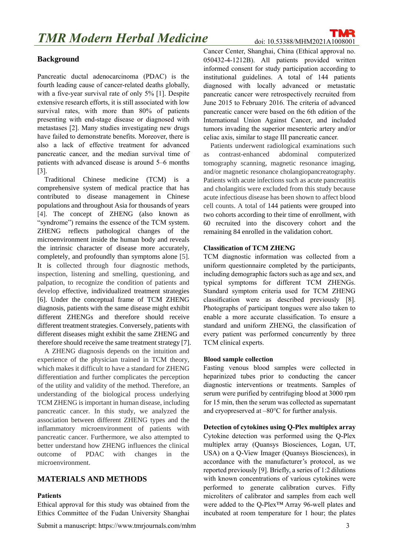## **Background**

Pancreatic ductal adenocarcinoma (PDAC) is the fourth leading cause of cancer-related deaths globally, with a five-year survival rate of only 5% [1]. Despite extensive research efforts, it is still associated with low survival rates, with more than 80% of patients presenting with end-stage disease or diagnosed with metastases [2]. Many studies investigating new drugs have failed to demonstrate benefits. Moreover, there is also a lack of effective treatment for advanced pancreatic cancer, and the median survival time of patients with advanced disease is around 5–6 months [3].

Traditional Chinese medicine (TCM) is a comprehensive system of medical practice that has contributed to disease management in Chinese populations and throughout Asia for thousands of years [4]. The concept of ZHENG (also known as "syndrome") remains the essence of the TCM system. ZHENG reflects pathological changes of the microenvironment inside the human body and reveals the intrinsic character of disease more accurately, completely, and profoundly than symptoms alone [5]. It is collected through four diagnostic methods, inspection, listening and smelling, questioning, and palpation, to recognize the condition of patients and develop effective, individualized treatment strategies [6]. Under the conceptual frame of TCM ZHENG diagnosis, patients with the same disease might exhibit different ZHENGs and therefore should receive different treatment strategies. Conversely, patients with different diseases might exhibit the same ZHENG and therefore should receive the same treatment strategy [7].

A ZHENG diagnosis depends on the intuition and experience of the physician trained in TCM theory, which makes it difficult to have a standard for ZHENG differentiation and further complicates the perception of the utility and validity of the method. Therefore, an understanding of the biological process underlying TCM ZHENG is important in human disease, including pancreatic cancer. In this study, we analyzed the association between different ZHENG types and the inflammatory microenvironment of patients with pancreatic cancer. Furthermore, we also attempted to better understand how ZHENG influences the clinical outcome of PDAC with changes in the microenvironment.

## **MATERIALS AND METHODS**

#### **Patients**

Ethical approval for this study was obtained from the Ethics Committee of the Fudan University Shanghai Cancer Center, Shanghai, China (Ethical approval no. 050432-4-1212B). All patients provided written informed consent for study participation according to institutional guidelines. A total of 144 patients diagnosed with locally advanced or metastatic pancreatic cancer were retrospectively recruited from June 2015 to February 2016. The criteria of advanced pancreatic cancer were based on the 6th edition of the International Union Against Cancer, and included tumors invading the superior mesenteric artery and/or celiac axis, similar to stage III pancreatic cancer.

Patients underwent radiological examinations such as contrast-enhanced abdominal computerized tomography scanning, magnetic resonance imaging, and/or magnetic resonance cholangiopancreatography. Patients with acute infections such as acute pancreatitis and cholangitis were excluded from this study because acute infectious disease has been shown to affect blood cell counts. A total of 144 patients were grouped into two cohorts according to their time of enrollment, with 60 recruited into the discovery cohort and the remaining 84 enrolled in the validation cohort.

#### **Classification of TCM ZHENG**

TCM diagnostic information was collected from a uniform questionnaire completed by the participants, including demographic factors such as age and sex, and typical symptoms for different TCM ZHENGs. Standard symptom criteria used for TCM ZHENG classification were as described previously [8]. Photographs of participant tongues were also taken to enable a more accurate classification. To ensure a standard and uniform ZHENG, the classification of every patient was performed concurrently by three TCM clinical experts.

#### **Blood sample collection**

Fasting venous blood samples were collected in heparinized tubes prior to conducting the cancer diagnostic interventions or treatments. Samples of serum were purified by centrifuging blood at 3000 rpm for 15 min, then the serum was collected as supernatant and cryopreserved at –80°C for further analysis.

#### **Detection of cytokines using Q-Plex multiplex array**

Cytokine detection was performed using the Q-Plex multiplex array (Quansys Biosciences, Logan, UT, USA) on a Q-View Imager (Quansys Biosciences), in accordance with the manufacturer's protocol, as we reported previously [9]. Briefly, a series of 1:2 dilutions with known concentrations of various cytokines were performed to generate calibration curves. Fifty microliters of calibrator and samples from each well were added to the Q-Plex™ Array 96-well plates and incubated at room temperature for 1 hour; the plates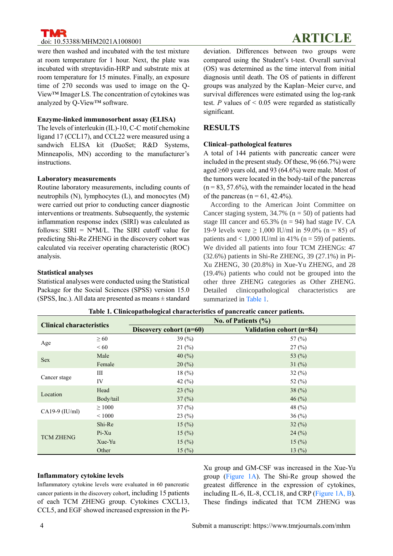were then washed and incubated with the test mixture at room temperature for 1 hour. Next, the plate was incubated with streptavidin-HRP and substrate mix at room temperature for 15 minutes. Finally, an exposure time of 270 seconds was used to image on the Q-View™ Imager LS. The concentration of cytokines was analyzed by Q-View™ software.

#### **Enzyme-linked immunosorbent assay (ELISA)**

The levels of interleukin (IL)-10, C-C motif chemokine ligand 17 (CCL17), and CCL22 were measured using a sandwich ELISA kit (DuoSet; R&D Systems, Minneapolis, MN) according to the manufacturer's instructions.

#### **Laboratory measurements**

Routine laboratory measurements, including counts of neutrophils (N), lymphocytes (L), and monocytes (M) were carried out prior to conducting cancer diagnostic interventions or treatments. Subsequently, the systemic inflammation response index (SIRI) was calculated as follows:  $SIRI = N*M/L$ . The SIRI cutoff value for predicting Shi-Re ZHENG in the discovery cohort was calculated via receiver operating characteristic (ROC) analysis.

#### **Statistical analyses**

Statistical analyses were conducted using the Statistical Package for the Social Sciences (SPSS) version 15.0 (SPSS, Inc.). All data are presented as means  $\pm$  standard deviation. Differences between two groups were compared using the Student's t-test. Overall survival (OS) was determined as the time interval from initial diagnosis until death. The OS of patients in different groups was analyzed by the Kaplan–Meier curve, and survival differences were estimated using the log-rank test.  $P$  values of  $\leq 0.05$  were regarded as statistically significant.

### **RESULTS**

#### **Clinical–pathological features**

A total of 144 patients with pancreatic cancer were included in the present study. Of these, 96 (66.7%) were aged  $\geq 60$  years old, and 93 (64.6%) were male. Most of the tumors were located in the body-tail of the pancreas  $(n = 83, 57.6\%)$ , with the remainder located in the head of the pancreas ( $n = 61$ , 42.4%).

According to the American Joint Committee on Cancer staging system,  $34.7\%$  (n = 50) of patients had stage III cancer and  $65.3\%$  (n = 94) had stage IV. CA 19-9 levels were  $\geq 1,000$  IU/ml in 59.0% (n = 85) of patients and  $< 1,000$  IU/ml in 41% (n = 59) of patients. We divided all patients into four TCM ZHENGs: 47 (32.6%) patients in Shi-Re ZHENG, 39 (27.1%) in Pi-Xu ZHENG, 30 (20.8%) in Xue-Yu ZHENG, and 28 (19.4%) patients who could not be grouped into the other three ZHENG categories as Other ZHENG. Detailed clinicopathological characteristics are summarized in Table 1.

| <b>Clinical characteristics</b> |             | No. of Patients $(\% )$ |                          |
|---------------------------------|-------------|-------------------------|--------------------------|
|                                 |             | Discovery cohort (n=60) | Validation cohort (n=84) |
| Age                             | $\geq 60$   | 39 $(\% )$              | 57 $(\% )$               |
|                                 | <60         | 21(%)                   | 27(%)                    |
| <b>Sex</b>                      | Male        | 40 $(\% )$              | 53 $(%)$                 |
|                                 | Female      | $20\,(%)$               | 31 $(\%)$                |
| Cancer stage                    | Ш           | 18(%)                   | 32(%)                    |
|                                 | IV          | 42 $(\% )$              | 52 $(\%$                 |
| Location                        | Head        | 23(%)                   | 38 $(%)$                 |
|                                 | Body/tail   | 37(%)                   | 46 $(\% )$               |
| CA19-9 $(IU/ml)$                | $\geq 1000$ | 37(%)                   | 48 $(%)$                 |
|                                 | ${}< 1000$  | 23(%)                   | 36(%)                    |
| <b>TCM ZHENG</b>                | Shi-Re      | 15(%)                   | 32(%)                    |
|                                 | $Pi-Xu$     | 15(%)                   | 24(%)                    |
|                                 | Xue-Yu      | 15(%)                   | 15 $(\frac{9}{0})$       |
|                                 | Other       | 15(%)                   | 13 $(%)$                 |

**Table 1. Clinicopathological characteristics of pancreatic cancer patients.**

## **Inflammatory cytokine levels**

Inflammatory cytokine levels were evaluated in 60 pancreatic cancer patients in the discovery cohort, including 15 patients of each TCM ZHENG group. Cytokines CXCL13, CCL5, and EGF showed increased expression in the PiXu group and GM-CSF was increased in the Xue-Yu group (Figure 1A). The Shi-Re group showed the greatest difference in the expression of cytokines, including IL-6, IL-8, CCL18, and CRP (Figure 1A, B). These findings indicated that TCM ZHENG was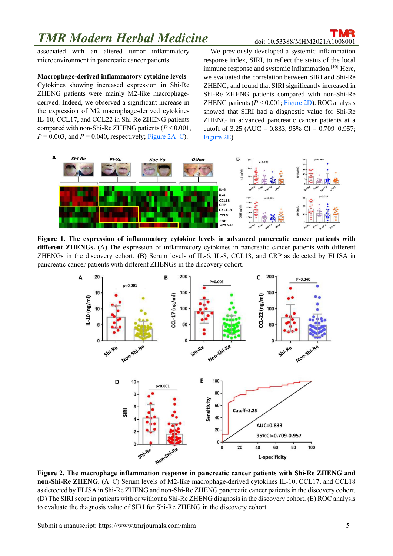## **TMR Modern Herbal Medicine** doi: 10.53388/MHM2021A1008001

associated with an altered tumor inflammatory microenvironment in pancreatic cancer patients.

### **Macrophage-derived inflammatory cytokine levels**

Cytokines showing increased expression in Shi-Re ZHENG patients were mainly M2-like macrophagederived. Indeed, we observed a significant increase in the expression of M2 macrophage-derived cytokines IL-10, CCL17, and CCL22 in Shi-Re ZHENG patients compared with non-Shi-Re ZHENG patients (*P* < 0.001,  $P = 0.003$ , and  $P = 0.040$ , respectively; Figure 2A–C).

We previously developed a systemic inflammation response index, SIRI, to reflect the status of the local immune response and systemic inflammation.<sup>[10]</sup> Here, we evaluated the correlation between SIRI and Shi-Re ZHENG, and found that SIRI significantly increased in Shi-Re ZHENG patients compared with non-Shi-Re ZHENG patients (*P* < 0.001; Figure 2D). ROC analysis showed that SIRI had a diagnostic value for Shi-Re ZHENG in advanced pancreatic cancer patients at a cutoff of 3.25 (AUC =  $0.833$ , 95% CI =  $0.709 - 0.957$ ; Figure 2E).



**Figure 1. The expression of inflammatory cytokine levels in advanced pancreatic cancer patients with different ZHENGs. (**A**)** The expression of inflammatory cytokines in pancreatic cancer patients with different ZHENGs in the discovery cohort. **(**B**)** Serum levels of IL-6, IL-8, CCL18, and CRP as detected by ELISA in pancreatic cancer patients with different ZHENGs in the discovery cohort.



**Figure 2. The macrophage inflammation response in pancreatic cancer patients with Shi-Re ZHENG and non-Shi-Re ZHENG.** (A–C) Serum levels of M2-like macrophage-derived cytokines IL-10, CCL17, and CCL18 as detected by ELISA in Shi-Re ZHENG and non-Shi-Re ZHENG pancreatic cancer patients in the discovery cohort. (D) The SIRI score in patients with or without a Shi-Re ZHENG diagnosis in the discovery cohort. (E) ROC analysis to evaluate the diagnosis value of SIRI for Shi-Re ZHENG in the discovery cohort.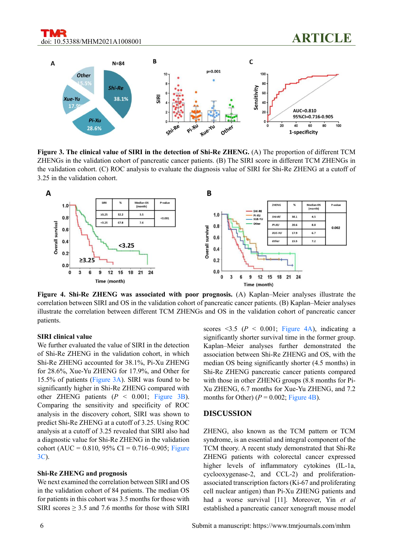

**Figure 3. The clinical value of SIRI in the detection of Shi-Re ZHENG.** (A) The proportion of different TCM ZHENGs in the validation cohort of pancreatic cancer patients. (B) The SIRI score in different TCM ZHENGs in the validation cohort. (C) ROC analysis to evaluate the diagnosis value of SIRI for Shi-Re ZHENG at a cutoff of 3.25 in the validation cohort.



**Figure 4. Shi-Re ZHENG was associated with poor prognosis.** (A) Kaplan–Meier analyses illustrate the correlation between SIRI and OS in the validation cohort of pancreatic cancer patients. (B) Kaplan–Meier analyses illustrate the correlation between different TCM ZHENGs and OS in the validation cohort of pancreatic cancer patients.

#### **SIRI clinical value**

We further evaluated the value of SIRI in the detection of Shi-Re ZHENG in the validation cohort, in which Shi-Re ZHENG accounted for 38.1%, Pi-Xu ZHENG for 28.6%, Xue-Yu ZHENG for 17.9%, and Other for 15.5% of patients (Figure 3A). SIRI was found to be significantly higher in Shi-Re ZHENG compared with other ZHENG patients (*P* < 0.001; Figure 3B). Comparing the sensitivity and specificity of ROC analysis in the discovery cohort, SIRI was shown to predict Shi-Re ZHENG at a cutoff of 3.25. Using ROC analysis at a cutoff of 3.25 revealed that SIRI also had a diagnostic value for Shi-Re ZHENG in the validation cohort (AUC =  $0.810, 95\%$  CI =  $0.716-0.905$ ; Figure 3C).

#### **Shi-Re ZHENG and prognosis**

We next examined the correlation between SIRI and OS in the validation cohort of 84 patients. The median OS for patients in this cohort was 3.5 months for those with SIRI scores  $\geq$  3.5 and 7.6 months for those with SIRI scores  $\leq$ 3.5 (*P*  $\leq$  0.001; Figure 4A), indicating a significantly shorter survival time in the former group. Kaplan–Meier analyses further demonstrated the association between Shi-Re ZHENG and OS, with the median OS being significantly shorter (4.5 months) in Shi-Re ZHENG pancreatic cancer patients compared with those in other ZHENG groups (8.8 months for Pi-Xu ZHENG, 6.7 months for Xue-Yu ZHENG, and 7.2 months for Other)  $(P = 0.002;$  Figure 4B).

#### **DISCUSSION**

ZHENG, also known as the TCM pattern or TCM syndrome, is an essential and integral component of the TCM theory. A recent study demonstrated that Shi-Re ZHENG patients with colorectal cancer expressed higher levels of inflammatory cytokines (IL-1a, cyclooxygenase-2, and CCL-2) and proliferationassociated transcription factors (Ki-67 and proliferating cell nuclear antigen) than Pi-Xu ZHENG patients and had a worse survival [11]. Moreover, Yin *et al* established a pancreatic cancer xenograft mouse model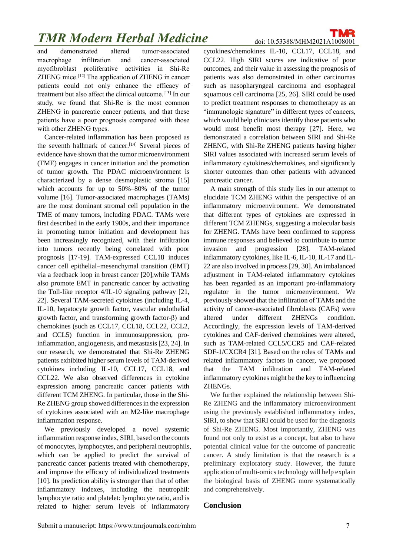## **TMR Modern Herbal Medicine** doi: 10.53388/MHM2021A1008001

and demonstrated altered tumor-associated macrophage infiltration and cancer-associated myofibroblast proliferative activities in Shi-Re ZHENG mice.[12] The application of ZHENG in cancer patients could not only enhance the efficacy of treatment but also affect the clinical outcome.[13] In our study, we found that Shi-Re is the most common ZHENG in pancreatic cancer patients, and that these patients have a poor prognosis compared with those with other ZHENG types.

Cancer-related inflammation has been proposed as the seventh hallmark of cancer. [14] Several pieces of evidence have shown that the tumor microenvironment (TME) engages in cancer initiation and the promotion of tumor growth. The PDAC microenvironment is characterized by a dense desmoplastic stroma [15] which accounts for up to 50%–80% of the tumor volume [16]. Tumor-associated macrophages (TAMs) are the most dominant stromal cell population in the TME of many tumors, including PDAC. TAMs were first described in the early 1980s, and their importance in promoting tumor initiation and development has been increasingly recognized, with their infiltration into tumors recently being correlated with poor prognosis [17-19]. TAM-expressed CCL18 induces cancer cell epithelial–mesenchymal transition (EMT) via a feedback loop in breast cancer [20],while TAMs also promote EMT in pancreatic cancer by activating the Toll-like receptor 4/IL-10 signaling pathway [21, 22]. Several TAM-secreted cytokines (including IL-4, IL-10, hepatocyte growth factor, vascular endothelial growth factor, and transforming growth factor-β) and chemokines (such as CCL17, CCL18, CCL22, CCL2, and CCL5) function in immunosuppression, proinflammation, angiogenesis, and metastasis [23, 24]. In our research, we demonstrated that Shi-Re ZHENG patients exhibited higher serum levels of TAM-derived cytokines including IL-10, CCL17, CCL18, and CCL22. We also observed differences in cytokine expression among pancreatic cancer patients with different TCM ZHENG. In particular, those in the Shi-Re ZHENG group showed differences in the expression of cytokines associated with an M2-like macrophage inflammation response.

We previously developed a novel systemic inflammation response index, SIRI, based on the counts of monocytes, lymphocytes, and peripheral neutrophils, which can be applied to predict the survival of pancreatic cancer patients treated with chemotherapy, and improve the efficacy of individualized treatments [10]. Its prediction ability is stronger than that of other inflammatory indexes, including the neutrophil: lymphocyte ratio and platelet: lymphocyte ratio, and is related to higher serum levels of inflammatory

cytokines/chemokines IL-10, CCL17, CCL18, and CCL22. High SIRI scores are indicative of poor outcomes, and their value in assessing the prognosis of patients was also demonstrated in other carcinomas such as nasopharyngeal carcinoma and esophageal squamous cell carcinoma [25, 26]. SIRI could be used to predict treatment responses to chemotherapy as an "immunologic signature" in different types of cancers, which would help clinicians identify those patients who would most benefit most therapy [27]. Here, we demonstrated a correlation between SIRI and Shi-Re ZHENG, with Shi-Re ZHENG patients having higher SIRI values associated with increased serum levels of inflammatory cytokines/chemokines, and significantly shorter outcomes than other patients with advanced pancreatic cancer.

A main strength of this study lies in our attempt to elucidate TCM ZHENG within the perspective of an inflammatory microenvironment. We demonstrated that different types of cytokines are expressed in different TCM ZHENGs, suggesting a molecular basis for ZHENG. TAMs have been confirmed to suppress immune responses and believed to contribute to tumor invasion and progression [28]. TAM-related inflammatory cytokines, like IL-6, IL-10, IL-17 and IL-22 are also involved in process [29, 30]. An imbalanced adjustment in TAM-related inflammatory cytokines has been regarded as an important pro-inflammatory regulator in the tumor microenvironment. We previously showed that the infiltration of TAMs and the activity of cancer-associated fibroblasts (CAFs) were altered under different ZHENGs condition. Accordingly, the expression levels of TAM-derived cytokines and CAF-derived chemokines were altered, such as TAM-related CCL5/CCR5 and CAF-related SDF-1/CXCR4 [31]. Based on the roles of TAMs and related inflammatory factors in cancer, we proposed that the TAM infiltration and TAM-related inflammatory cytokines might be the key to influencing ZHENGs.

We further explained the relationship between Shi-Re ZHENG and the inflammatory microenvironment using the previously established inflammatory index, SIRI, to show that SIRI could be used for the diagnosis of Shi-Re ZHENG. Most importantly, ZHENG was found not only to exist as a concept, but also to have potential clinical value for the outcome of pancreatic cancer. A study limitation is that the research is a preliminary exploratory study. However, the future application of multi-omics technology will help explain the biological basis of ZHENG more systematically and comprehensively.

## **Conclusion**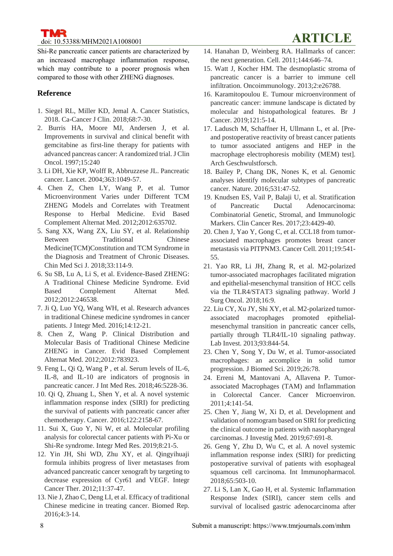Shi-Re pancreatic cancer patients are characterized by an increased macrophage inflammation response, which may contribute to a poorer prognosis when compared to those with other ZHENG diagnoses.

## **Reference**

- 1. Siegel RL, Miller KD, Jemal A. Cancer Statistics, 2018. Ca-Cancer J Clin. 2018;68:7-30.
- 2. Burris HA, Moore MJ, Andersen J, et al. Improvements in survival and clinical benefit with gemcitabine as first-line therapy for patients with advanced pancreas cancer: A randomized trial. J Clin Oncol. 1997;15:240
- 3. Li DH, Xie KP, Wolff R, Abbruzzese JL. Pancreatic cancer. Lancet. 2004;363:1049-57.
- 4. Chen Z, Chen LY, Wang P, et al. Tumor Microenvironment Varies under Different TCM ZHENG Models and Correlates with Treatment Response to Herbal Medicine. Evid Based Complement Alternat Med. 2012;2012:635702.
- 5. Sang XX, Wang ZX, Liu SY, et al. Relationship Between Traditional Chinese Medicine(TCM)Constitution and TCM Syndrome in the Diagnosis and Treatment of Chronic Diseases. Chin Med Sci J. 2018;33:114-9.
- 6. Su SB, Lu A, Li S, et al. Evidence-Based ZHENG: A Traditional Chinese Medicine Syndrome. Evid Based Complement Alternat Med. 2012;2012:246538.
- 7. Ji Q, Luo YQ, Wang WH, et al. Research advances in traditional Chinese medicine syndromes in cancer patients. J Integr Med. 2016;14:12-21.
- 8. Chen Z, Wang P. Clinical Distribution and Molecular Basis of Traditional Chinese Medicine ZHENG in Cancer. Evid Based Complement Alternat Med. 2012;2012:783923.
- 9. Feng L, Qi Q, Wang P , et al. Serum levels of IL-6, IL-8, and IL-10 are indicators of prognosis in pancreatic cancer. J Int Med Res. 2018;46:5228-36.
- 10. Qi Q, Zhuang L, Shen Y, et al. A novel systemic inflammation response index (SIRI) for predicting the survival of patients with pancreatic cancer after chemotherapy. Cancer. 2016;122:2158-67.
- 11. Sui X, Guo Y, Ni W, et al. Molecular profiling analysis for colorectal cancer patients with Pi-Xu or Shi-Re syndrome. Integr Med Res. 2019;8:21-5.
- 12. Yin JH, Shi WD, Zhu XY, et al. Qingyihuaji formula inhibits progress of liver metastases from advanced pancreatic cancer xenograft by targeting to decrease expression of Cyr61 and VEGF. Integr Cancer Ther. 2012;11:37-47.
- 13. Nie J, Zhao C, Deng LI, et al. Efficacy of traditional Chinese medicine in treating cancer. Biomed Rep. 2016;4:3-14.
- 14. Hanahan D, Weinberg RA. Hallmarks of cancer: the next generation. Cell. 2011;144:646–74.
- 15. Watt J, Kocher HM. The desmoplastic stroma of pancreatic cancer is a barrier to immune cell infiltration. Oncoimmunology. 2013;2:e26788.
- 16. Karamitopoulou E. Tumour microenvironment of pancreatic cancer: immune landscape is dictated by molecular and histopathological features. Br J Cancer. 2019;121:5-14.
- 17. Ladusch M, Schaffner H, Ullmann L, et al. [Preand postoperative reactivity of breast cancer patients to tumor associated antigens and HEP in the macrophage electrophoresis mobility (MEM) test]. Arch Geschwulstforsch.
- 18. Bailey P, Chang DK, Nones K, et al. Genomic analyses identify molecular subtypes of pancreatic cancer. Nature. 2016;531:47-52.
- 19. Knudsen ES, Vail P, Balaji U, et al. Stratification of Pancreatic Ductal Adenocarcinoma: Combinatorial Genetic, Stromal, and Immunologic Markers. Clin Cancer Res. 2017;23:4429-40.
- 20. Chen J, Yao Y, Gong C, et al. CCL18 from tumorassociated macrophages promotes breast cancer metastasis via PITPNM3. Cancer Cell. 2011;19:541- 55.
- 21. Yao RR, Li JH, Zhang R, et al. M2-polarized tumor-associated macrophages facilitated migration and epithelial-mesenchymal transition of HCC cells via the TLR4/STAT3 signaling pathway. World J Surg Oncol. 2018;16:9.
- 22. Liu CY, Xu JY, Shi XY, et al. M2-polarized tumorassociated macrophages promoted epithelialmesenchymal transition in pancreatic cancer cells, partially through TLR4/IL-10 signaling pathway. Lab Invest. 2013;93:844-54.
- 23. Chen Y, Song Y, Du W, et al. Tumor-associated macrophages: an accomplice in solid tumor progression. J Biomed Sci. 2019;26:78.
- 24. Erreni M, Mantovani A, Allavena P. Tumorassociated Macrophages (TAM) and Inflammation in Colorectal Cancer. Cancer Microenviron. 2011;4:141-54.
- 25. Chen Y, Jiang W, Xi D, et al. Development and validation of nomogram based on SIRI for predicting the clinical outcome in patients with nasopharyngeal carcinomas. J Investig Med. 2019;67:691-8.
- 26. Geng Y, Zhu D, Wu C, et al. A novel systemic inflammation response index (SIRI) for predicting postoperative survival of patients with esophageal squamous cell carcinoma. Int Immunopharmacol. 2018;65:503-10.
- 27. Li S, Lan X, Gao H, et al. Systemic Inflammation Response Index (SIRI), cancer stem cells and survival of localised gastric adenocarcinoma after